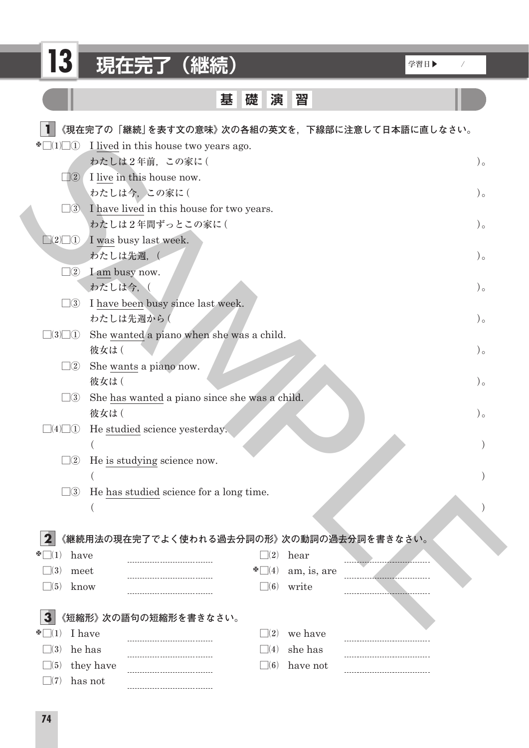| 13                                            | 現在完了 (継続)                                             |                                  |                      | 学習日▶ | $\sqrt{2}$ |
|-----------------------------------------------|-------------------------------------------------------|----------------------------------|----------------------|------|------------|
|                                               | 基                                                     | 礎<br>演                           | 習                    |      |            |
|                                               | 《現在完了の「継続」を表す文の意味》次の各組の英文を,下線部に注意して日本語に直しなさい。         |                                  |                      |      |            |
| $\sum_{i=1}^{n}$                              | I lived in this house two years ago.<br>わたしは2年前、この家に( |                                  |                      |      | $)$ 。      |
| $\vert (2) \vert$                             | I live in this house now.                             |                                  |                      |      |            |
|                                               | わたしは今、この家に(                                           |                                  |                      |      | $)$ 。      |
| $\square$ 3                                   | I have lived in this house for two years.             |                                  |                      |      |            |
| $\Box(2)\Box(1)$ I was busy last week.        | わたしは2年間ずっとこの家に(                                       |                                  |                      |      | $)$ 。      |
| わたしは先週, (                                     |                                                       |                                  |                      |      | $)$ 。      |
| $\square$ 2 I am busy now.                    |                                                       |                                  |                      |      |            |
| わたしは今,(<br>$\square$ 3                        | I have been busy since last week.                     |                                  |                      |      | $)$ 。      |
| わたしは先週から(                                     |                                                       |                                  |                      |      | $)$ 。      |
| $\Box(3)\Box(1)$                              | She wanted a piano when she was a child.              |                                  |                      |      |            |
| 彼女は(<br>$\square$ 2                           |                                                       |                                  |                      |      | $)$ 。      |
| 彼女は(                                          | She wants a piano now.                                |                                  |                      |      | $)$ 。      |
| $\square$ 3                                   | She has wanted a piano since she was a child.         |                                  |                      |      |            |
| 彼女は(                                          |                                                       |                                  |                      |      | $)$ 。      |
| $\Box(4)\Box(1)$                              | He studied science yesterday.                         |                                  |                      |      |            |
| $\square 2$                                   | He is studying science now.                           |                                  |                      |      |            |
|                                               |                                                       |                                  |                      |      |            |
| $\square$ 3                                   | He has studied science for a long time.               |                                  |                      |      |            |
|                                               |                                                       |                                  |                      |      |            |
|                                               | 《継続用法の現在完了でよく使われる過去分詞の形》次の動詞の過去分詞を書きなさい。              |                                  |                      |      |            |
| have                                          |                                                       | $\Box(2)$                        | hear                 |      |            |
| $\exists(3)$<br>meet<br>$\exists(5)$<br>know  |                                                       | $\sum_{i=1}^{n}$<br>$\square(6)$ | am, is, are<br>write |      |            |
|                                               |                                                       |                                  |                      |      |            |
|                                               | 《短縮形》次の語句の短縮形を書きなさい。                                  |                                  |                      |      |            |
| I have<br>$\vert (1)$                         |                                                       | $\vert \ \vert(2)$               | we have              |      |            |
| he has<br>$\Box(3)$<br>they have<br>$\Box(5)$ |                                                       | (4)<br>$\Box(6)$                 | she has<br>have not  |      |            |
| has not<br>$\perp$ (7)                        |                                                       |                                  |                      |      |            |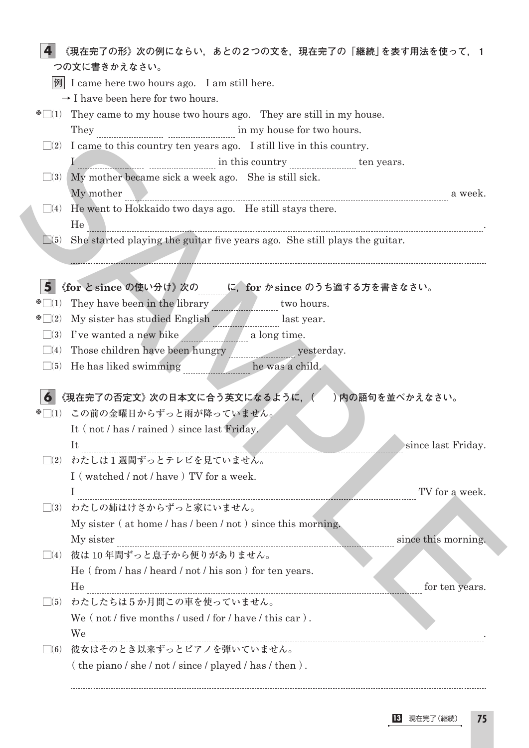|                     | $ \mathcal{Y} $ I came here two hours ago. I am still here.                                    |
|---------------------|------------------------------------------------------------------------------------------------|
|                     | $\rightarrow$ I have been here for two hours.                                                  |
|                     | $\mathbb{Z}[\lceil 1 \rceil]$ They came to my house two hours ago. They are still in my house. |
|                     |                                                                                                |
|                     | $\square$ (2) I came to this country ten years ago. I still live in this country.              |
|                     | I in this country ten years.                                                                   |
|                     | $\Box$ (3) My mother became sick a week ago. She is still sick.                                |
|                     | My mother<br>a week.                                                                           |
|                     | $\Box(4)$ He went to Hokkaido two days ago. He still stays there.<br>He                        |
| $\Box(5)$           | She started playing the guitar five years ago. She still plays the guitar.                     |
|                     |                                                                                                |
|                     |                                                                                                |
| 5 <sup>1</sup>      | 《for と since の使い分け》次の に、for か since のうち適する方を書きなさい。                                             |
| $\infty(1)$         | They have been in the library www.two hours.                                                   |
| $\infty$ $(2)$      | My sister has studied English last year.                                                       |
| $\Box(3)$           | I've wanted a new bike a long time.                                                            |
| $\Box(4)$           |                                                                                                |
| $\Box(5)$           | He has liked swimming _____________ he was a child.                                            |
|                     |                                                                                                |
| 6                   | 《現在完了の否定文》次の日本文に合う英文になるように、()内の語句を並べかえなさい。                                                     |
|                     | ※□(1) この前の金曜日からずっと雨が降っていません。                                                                   |
|                     | It (not / has / rained) since last Friday.                                                     |
|                     | since last Friday.<br>Tt.                                                                      |
| $\mathcal{a}(2)$    | わたしは1週間ずっとテレビを見ていません。                                                                          |
|                     | I (watched / not / have) TV for a week.                                                        |
|                     | TV for a week.<br>L                                                                            |
|                     |                                                                                                |
| $\vert \ \vert (3)$ | わたしの姉はけさからずっと家にいません。                                                                           |
|                     | My sister (at home / has / been / not) since this morning.                                     |
|                     | since this morning.<br>My sister                                                               |
|                     | □(4) 彼は10年間ずっと息子から便りがありません。                                                                    |
|                     | He (from / has / heard / not / his son) for ten years.                                         |
|                     | He<br>for ten years.                                                                           |
| $\vert$ (5)         | わたしたちは5か月間この車を使っていません。                                                                         |
|                     | We $($ not $/$ five months $/$ used $/$ for $/$ have $/$ this car $).$                         |
|                     | We<br>彼女はそのとき以来ずっとピアノを弾いていません。                                                                 |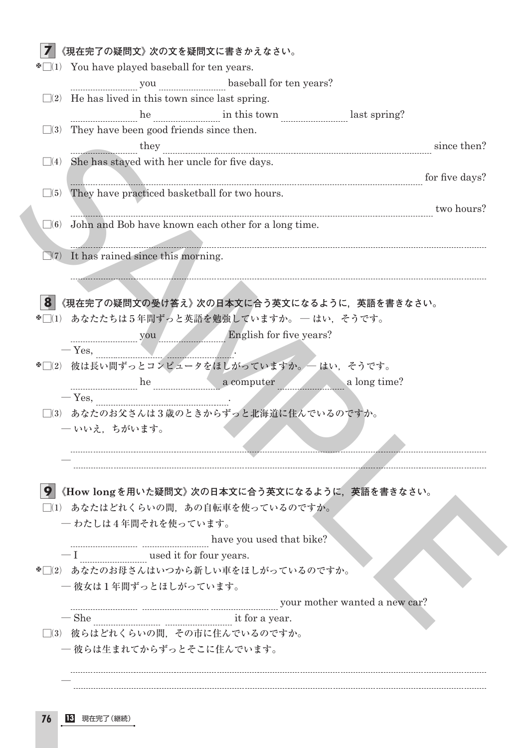|           | $\Box(2)$ He has lived in this town since last spring.         |  |
|-----------|----------------------------------------------------------------|--|
|           | he measurement in this town measurement last spring?           |  |
|           | $\Box$ (3) They have been good friends since then.             |  |
|           | they <u>the communication</u> they then?                       |  |
|           | $\Box$ (4) She has stayed with her uncle for five days.        |  |
|           | <u>Examples and the days?</u> for five days?                   |  |
| $\Box(5)$ | They have practiced basketball for two hours.                  |  |
|           | $\frac{1}{10}$ two hours?                                      |  |
|           | $\Box$ (6) John and Bob have known each other for a long time. |  |
|           |                                                                |  |
|           | $\Box(7)$ It has rained since this morning.                    |  |
|           |                                                                |  |
|           |                                                                |  |
|           | 《現在完了の疑問文の受け答え》次の日本文に合う英文になるように,英語を書きなさい。                      |  |
|           | ※□(1) あなたたちは5年間ずっと英語を勉強していますか。 — はい、そうです。                      |  |
|           |                                                                |  |
|           | $-$ Yes, $\qquad \qquad$                                       |  |
|           | *□(2) 彼は長い間ずっとコンピュータをほしがっていますか。 - はい、そうです。                     |  |
|           |                                                                |  |
|           | he a computer a long time?<br>- Yes,                           |  |
|           | □(3) あなたのお父さんは3歳のときからずっと北海道に住んでいるのですか。                         |  |
|           | –– いいえ、ちがいます。                                                  |  |
|           |                                                                |  |
|           |                                                                |  |
|           |                                                                |  |
| 9         | 《How longを用いた疑問文》次の日本文に合う英文になるように,英語を書きなさい。                    |  |
|           | □(1) あなたはどれくらいの間、あの自転車を使っているのですか。                              |  |
|           | 一わたしは4年間それを使っています。                                             |  |
|           | have you used that bike?                                       |  |
|           | used it for four years.                                        |  |
|           | ※□(2) あなたのお母さんはいつから新しい車をほしがっているのですか。                           |  |
|           | - 彼女は1年間ずっとほしがっています。                                           |  |
|           | your mother wanted a new car?                                  |  |
|           | $-\text{She}$<br>it for a year.                                |  |
|           | □(3) 彼らはどれくらいの間、その市に住んでいるのですか。                                 |  |
|           |                                                                |  |
|           | - 彼らは生まれてからずっとそこに住んでいます。                                       |  |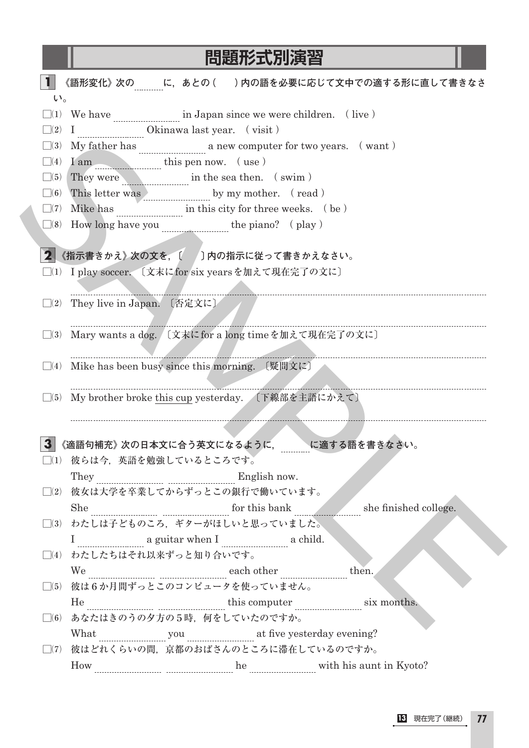## **問題形式別演習**

| $\mathsf{U}^{\,\prime\,}$ |                                                                                       |
|---------------------------|---------------------------------------------------------------------------------------|
|                           | $\Box(1)$ We have $\Box(1)$ we have $\Box(1)$ in Japan since we were children. (live) |
|                           | $\Box(2) \quad I \quad \text{} \quad \text{Okinawa last year.} \quad (\text{visit})$  |
| $\Box(3)$                 |                                                                                       |
| $\Box(4)$                 | $I$ am $\frac{1}{\sqrt{2}}$ this pen now. (use)                                       |
| $\Box(5)$                 | They were <b>the seather</b> in the sea then. (swim)                                  |
| $\Box(6)$                 |                                                                                       |
| $\Box(7)$                 | Mike has <u>manually</u> in this city for three weeks. (be)                           |
|                           | $\Box(8)$ How long have you $\Box(8)$ the piano? (play)                               |
|                           |                                                                                       |
|                           | 2 《指示書きかえ》次の文を, 〔 / 〕内の指示に従って書きかえなさい。                                                 |
|                           | □(1) I play soccer. 〔文末にfor six yearsを加えて現在完了の文に〕                                     |
|                           |                                                                                       |
|                           | $\Box$ (2) They live in Japan. 〔否定文に〕                                                 |
|                           |                                                                                       |
|                           | □(3) Mary wants a dog. 〔文末にfor a long timeを加えて現在完了の文に〕                                |
|                           |                                                                                       |
|                           | $\Box$ (4) Mike has been busy since this morning. 〔疑問文に〕                              |
|                           |                                                                                       |
|                           |                                                                                       |
| $\Box(5)$                 | My brother broke this cup yesterday. 〔下線部を主語にかえて〕                                     |
|                           |                                                                                       |
|                           |                                                                                       |
|                           | 《適語句補充》次の日本文に合う英文になるように, に適する語を書きなさい。                                                 |
|                           | □(1) 彼らは今,英語を勉強しているところです。                                                             |
|                           |                                                                                       |
|                           | □(2) 彼女は大学を卒業してからずっとこの銀行で働いています。                                                      |
|                           | She summand and for this bank she finished college.                                   |
|                           | □(3) わたしは子どものころ、ギターがほしいと思っていました。                                                      |
|                           | I a guitar when I a guitar a child.<br>□(4) わたしたちはそれ以来ずっと知り合いです。                      |
|                           |                                                                                       |
|                           | then.<br>□(5) 彼は6か月間ずっとこのコンピュータを使っていません。                                              |
|                           |                                                                                       |
|                           | □(6) あなたはきのうの夕方の5時、何をしていたのですか。                                                        |
|                           | What we have you will be yesterday evening?                                           |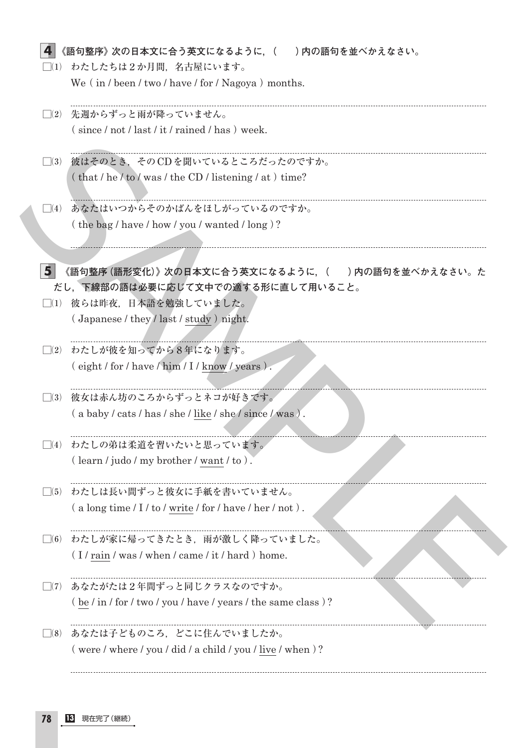| (1)                | わたしたちは2か月間、名古屋にいます。                                                                                                                                                                      |
|--------------------|------------------------------------------------------------------------------------------------------------------------------------------------------------------------------------------|
|                    | We (in / been / two / have / for / Nagoya) months.                                                                                                                                       |
| $\vert \ \vert(2)$ | 先週からずっと雨が降っていません。                                                                                                                                                                        |
|                    | $(since / not / last / it / rained / has) week.$                                                                                                                                         |
| $\Box(3)$          | 彼はそのとき、そのCDを聞いているところだったのですか。                                                                                                                                                             |
|                    | $(\text{that}/\text{he}/\text{to}/\text{was}/\text{the CD}/\text{listening}/\text{at})$ time?                                                                                            |
| (4)                | あなたはいつからそのかばんをほしがっているのですか。                                                                                                                                                               |
|                    | (the bag / have / how / you / wanted / long)?                                                                                                                                            |
|                    |                                                                                                                                                                                          |
|                    |                                                                                                                                                                                          |
| 5                  | 《語句整序 (語形変化)》次の日本文に合う英文になるように, (  ) 内の語句を並べかえなさい。た                                                                                                                                       |
|                    | だし、下線部の語は必要に応じて文中での適する形に直して用いること。                                                                                                                                                        |
|                    | □(1) 彼らは昨夜、日本語を勉強していました。                                                                                                                                                                 |
|                    | $\left($ Japanese / they / last / study $\right)$ night.                                                                                                                                 |
| $\Box(2)$          | わたしが彼を知ってから8年になります。                                                                                                                                                                      |
|                    | $(eight / for / have / him / I / know / years)$ .                                                                                                                                        |
| $\vert$ (3)        | 彼女は赤ん坊のころからずっとネコが好きです。                                                                                                                                                                   |
|                    | (a baby / cats / has / she / like / she / since / was).                                                                                                                                  |
| $\vert$ (4)        | わたしの弟は柔道を習いたいと思っています。                                                                                                                                                                    |
|                    | $($ learn / judo / my brother / want / to $).$                                                                                                                                           |
| $\vert$ (5)        | わたしは長い間ずっと彼女に手紙を書いていません。                                                                                                                                                                 |
|                    | $(a \text{ long time} / I / \text{ to} / \text{write} / \text{ for} / \text{ have} / \text{ her} / \text{ not}).$                                                                        |
| (6)                | わたしが家に帰ってきたとき、雨が激しく降っていました。                                                                                                                                                              |
|                    | (I/rain/was/when/came/it/hard) home.                                                                                                                                                     |
| $\Box(7)$          | あなたがたは2年間ずっと同じクラスなのですか。                                                                                                                                                                  |
|                    | $(\frac{\text{be}}{\text{in}}\int \frac{\text{for}}{\text{two}}\int \frac{\text{you}}{\text{you}}\cdot \frac{\text{have}}{\text{have}}\int \frac{\text{when}}{\text{the same class}}$ )? |
| $\Box(8)$          | あなたは子どものころ、どこに住んでいましたか。                                                                                                                                                                  |
|                    | $($ were / where / you / did / a child / you / live / when $)$ ?                                                                                                                         |